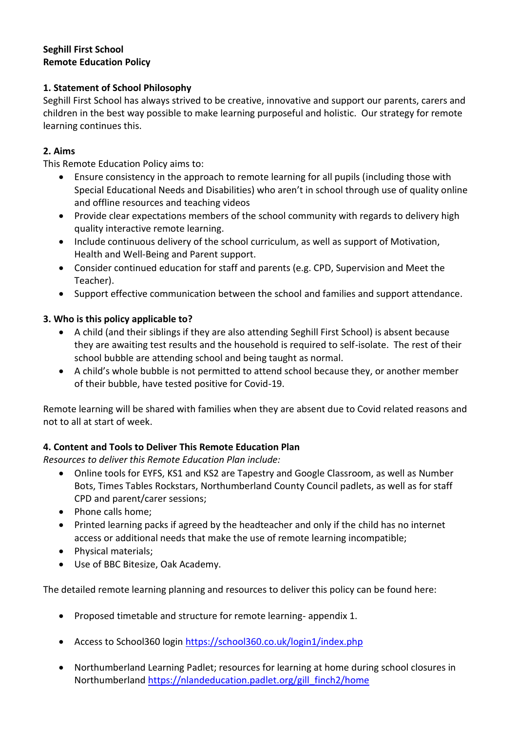### **Seghill First School Remote Education Policy**

## **1. Statement of School Philosophy**

Seghill First School has always strived to be creative, innovative and support our parents, carers and children in the best way possible to make learning purposeful and holistic. Our strategy for remote learning continues this.

# **2. Aims**

This Remote Education Policy aims to:

- Ensure consistency in the approach to remote learning for all pupils (including those with Special Educational Needs and Disabilities) who aren't in school through use of quality online and offline resources and teaching videos
- Provide clear expectations members of the school community with regards to delivery high quality interactive remote learning.
- Include continuous delivery of the school curriculum, as well as support of Motivation, Health and Well-Being and Parent support.
- Consider continued education for staff and parents (e.g. CPD, Supervision and Meet the Teacher).
- Support effective communication between the school and families and support attendance.

# **3. Who is this policy applicable to?**

- A child (and their siblings if they are also attending Seghill First School) is absent because they are awaiting test results and the household is required to self-isolate. The rest of their school bubble are attending school and being taught as normal.
- A child's whole bubble is not permitted to attend school because they, or another member of their bubble, have tested positive for Covid-19.

Remote learning will be shared with families when they are absent due to Covid related reasons and not to all at start of week.

## **4. Content and Tools to Deliver This Remote Education Plan**

*Resources to deliver this Remote Education Plan include:*

- Online tools for EYFS, KS1 and KS2 are Tapestry and Google Classroom, as well as Number Bots, Times Tables Rockstars, Northumberland County Council padlets, as well as for staff CPD and parent/carer sessions;
- Phone calls home:
- Printed learning packs if agreed by the headteacher and only if the child has no internet access or additional needs that make the use of remote learning incompatible;
- Physical materials;
- Use of BBC Bitesize, Oak Academy.

The detailed remote learning planning and resources to deliver this policy can be found here:

- Proposed timetable and structure for remote learning- appendix 1.
- Access to School360 login<https://school360.co.uk/login1/index.php>
- Northumberland Learning Padlet; resources for learning at home during school closures in Northumberland [https://nlandeducation.padlet.org/gill\\_finch2/home](https://nlandeducation.padlet.org/gill_finch2/home)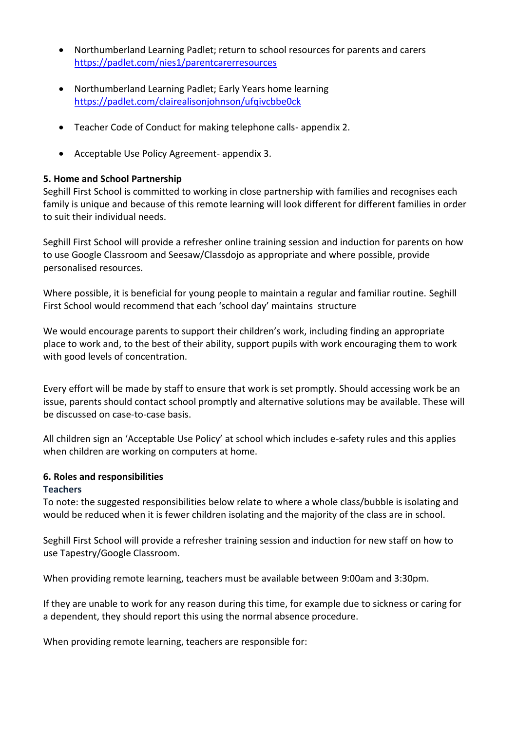- Northumberland Learning Padlet; return to school resources for parents and carers <https://padlet.com/nies1/parentcarerresources>
- Northumberland Learning Padlet; Early Years home learning <https://padlet.com/clairealisonjohnson/ufqivcbbe0ck>
- Teacher Code of Conduct for making telephone calls- appendix 2.
- Acceptable Use Policy Agreement- appendix 3.

#### **5. Home and School Partnership**

Seghill First School is committed to working in close partnership with families and recognises each family is unique and because of this remote learning will look different for different families in order to suit their individual needs.

Seghill First School will provide a refresher online training session and induction for parents on how to use Google Classroom and Seesaw/Classdojo as appropriate and where possible, provide personalised resources.

Where possible, it is beneficial for young people to maintain a regular and familiar routine. Seghill First School would recommend that each 'school day' maintains structure

We would encourage parents to support their children's work, including finding an appropriate place to work and, to the best of their ability, support pupils with work encouraging them to work with good levels of concentration.

Every effort will be made by staff to ensure that work is set promptly. Should accessing work be an issue, parents should contact school promptly and alternative solutions may be available. These will be discussed on case-to-case basis.

All children sign an 'Acceptable Use Policy' at school which includes e-safety rules and this applies when children are working on computers at home.

## **6. Roles and responsibilities**

### **Teachers**

To note: the suggested responsibilities below relate to where a whole class/bubble is isolating and would be reduced when it is fewer children isolating and the majority of the class are in school.

Seghill First School will provide a refresher training session and induction for new staff on how to use Tapestry/Google Classroom.

When providing remote learning, teachers must be available between 9:00am and 3:30pm.

If they are unable to work for any reason during this time, for example due to sickness or caring for a dependent, they should report this using the normal absence procedure.

When providing remote learning, teachers are responsible for: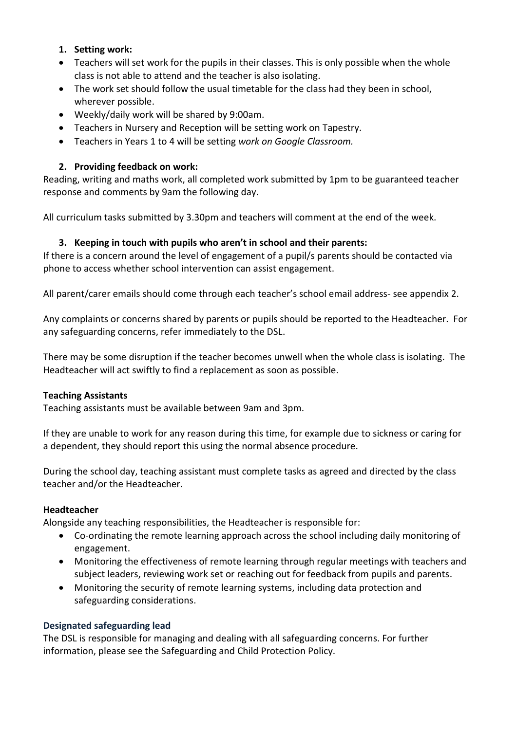### **1. Setting work:**

- Teachers will set work for the pupils in their classes. This is only possible when the whole class is not able to attend and the teacher is also isolating.
- The work set should follow the usual timetable for the class had they been in school, wherever possible.
- Weekly/daily work will be shared by 9:00am.
- Teachers in Nursery and Reception will be setting work on Tapestry.
- Teachers in Years 1 to 4 will be setting *work on Google Classroom.*

### **2. Providing feedback on work:**

Reading, writing and maths work, all completed work submitted by 1pm to be guaranteed teacher response and comments by 9am the following day.

All curriculum tasks submitted by 3.30pm and teachers will comment at the end of the week.

### **3. Keeping in touch with pupils who aren't in school and their parents:**

If there is a concern around the level of engagement of a pupil/s parents should be contacted via phone to access whether school intervention can assist engagement.

All parent/carer emails should come through each teacher's school email address- see appendix 2.

Any complaints or concerns shared by parents or pupils should be reported to the Headteacher. For any safeguarding concerns, refer immediately to the DSL.

There may be some disruption if the teacher becomes unwell when the whole class is isolating. The Headteacher will act swiftly to find a replacement as soon as possible.

### **Teaching Assistants**

Teaching assistants must be available between 9am and 3pm.

If they are unable to work for any reason during this time, for example due to sickness or caring for a dependent, they should report this using the normal absence procedure.

During the school day, teaching assistant must complete tasks as agreed and directed by the class teacher and/or the Headteacher.

#### **Headteacher**

Alongside any teaching responsibilities, the Headteacher is responsible for:

- Co-ordinating the remote learning approach across the school including daily monitoring of engagement.
- Monitoring the effectiveness of remote learning through regular meetings with teachers and subject leaders, reviewing work set or reaching out for feedback from pupils and parents.
- Monitoring the security of remote learning systems, including data protection and safeguarding considerations.

#### **Designated safeguarding lead**

The DSL is responsible for managing and dealing with all safeguarding concerns. For further information, please see the Safeguarding and Child Protection Policy.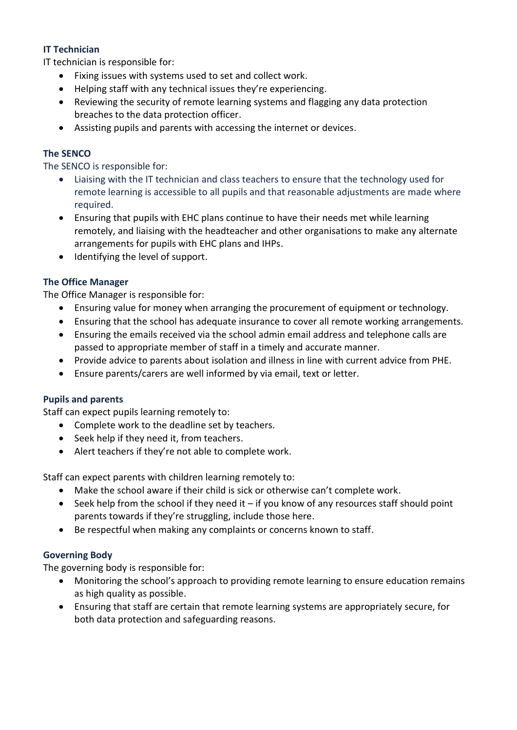### **IT Technician**

IT technician is responsible for:

- Fixing issues with systems used to set and collect work.
- Helping staff with any technical issues they're experiencing.
- Reviewing the security of remote learning systems and flagging any data protection breaches to the data protection officer.
- Assisting pupils and parents with accessing the internet or devices.

### **The SENCO**

The SENCO is responsible for:

- Liaising with the IT technician and class teachers to ensure that the technology used for remote learning is accessible to all pupils and that reasonable adjustments are made where required.
- Ensuring that pupils with EHC plans continue to have their needs met while learning remotely, and liaising with the headteacher and other organisations to make any alternate arrangements for pupils with EHC plans and IHPs.
- Identifying the level of support.

### **The Office Manager**

The Office Manager is responsible for:

- Ensuring value for money when arranging the procurement of equipment or technology.
- Ensuring that the school has adequate insurance to cover all remote working arrangements.
- Ensuring the emails received via the school admin email address and telephone calls are passed to appropriate member of staff in a timely and accurate manner.
- Provide advice to parents about isolation and illness in line with current advice from PHE.
- Ensure parents/carers are well informed by via email, text or letter.

### **Pupils and parents**

Staff can expect pupils learning remotely to:

- Complete work to the deadline set by teachers.
- Seek help if they need it, from teachers.
- Alert teachers if they're not able to complete work.

Staff can expect parents with children learning remotely to:

- Make the school aware if their child is sick or otherwise can't complete work.
- $\bullet$  Seek help from the school if they need it if you know of any resources staff should point parents towards if they're struggling, include those here.
- Be respectful when making any complaints or concerns known to staff.

### **Governing Body**

The governing body is responsible for:

- Monitoring the school's approach to providing remote learning to ensure education remains as high quality as possible.
- Ensuring that staff are certain that remote learning systems are appropriately secure, for both data protection and safeguarding reasons.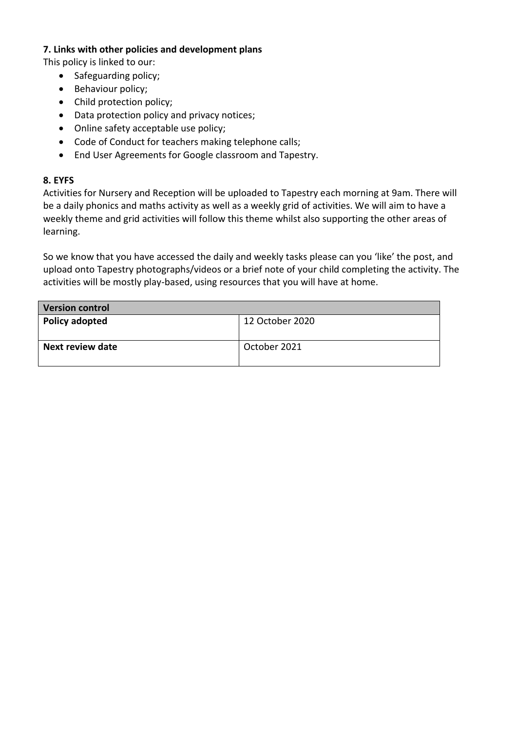#### **7. Links with other policies and development plans**

This policy is linked to our:

- Safeguarding policy;
- Behaviour policy;
- Child protection policy;
- Data protection policy and privacy notices;
- Online safety acceptable use policy;
- Code of Conduct for teachers making telephone calls;
- End User Agreements for Google classroom and Tapestry.

### **8. EYFS**

Activities for Nursery and Reception will be uploaded to Tapestry each morning at 9am. There will be a daily phonics and maths activity as well as a weekly grid of activities. We will aim to have a weekly theme and grid activities will follow this theme whilst also supporting the other areas of learning.

So we know that you have accessed the daily and weekly tasks please can you 'like' the post, and upload onto Tapestry photographs/videos or a brief note of your child completing the activity. The activities will be mostly play-based, using resources that you will have at home.

| <b>Version control</b> |                 |
|------------------------|-----------------|
| Policy adopted         | 12 October 2020 |
| Next review date       | October 2021    |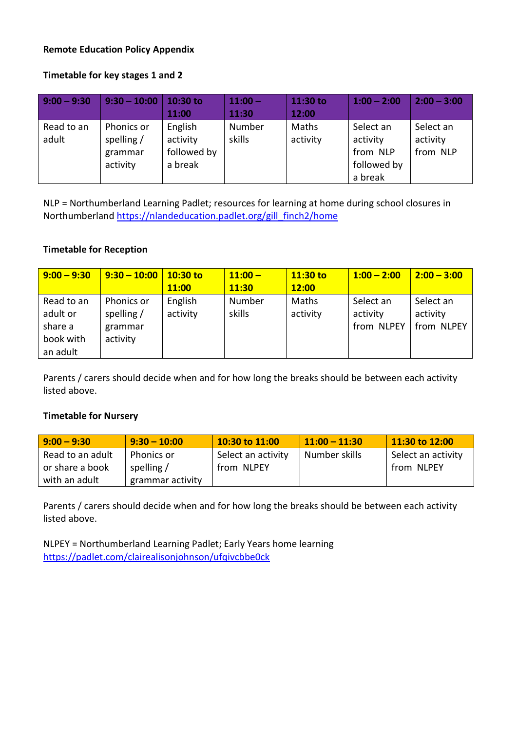#### **Remote Education Policy Appendix**

#### **Timetable for key stages 1 and 2**

| $9:00 - 9:30$       | $9:30 - 10:00$                                    | 10:30 to<br>11:00                             | $11:00 -$<br>11:30 | 11:30 to<br>12:00 | $1:00 - 2:00$                                               | $2:00 - 3:00$                     |
|---------------------|---------------------------------------------------|-----------------------------------------------|--------------------|-------------------|-------------------------------------------------------------|-----------------------------------|
| Read to an<br>adult | Phonics or<br>spelling $/$<br>grammar<br>activity | English<br>activity<br>followed by<br>a break | Number<br>skills   | Maths<br>activity | Select an<br>activity<br>from NLP<br>followed by<br>a break | Select an<br>activity<br>from NLP |

NLP = Northumberland Learning Padlet; resources for learning at home during school closures in Northumberland [https://nlandeducation.padlet.org/gill\\_finch2/home](https://nlandeducation.padlet.org/gill_finch2/home)

#### **Timetable for Reception**

| $9:00 - 9:30$                                              | $9:30 - 10:00$                                    | $10:30$ to          | $11:00 -$        | $11:30$ to        | $1:00 - 2:00$                       | $2:00 - 3:00$                       |
|------------------------------------------------------------|---------------------------------------------------|---------------------|------------------|-------------------|-------------------------------------|-------------------------------------|
|                                                            |                                                   | 11:00               | 11:30            | 12:00             |                                     |                                     |
| Read to an<br>adult or<br>share a<br>book with<br>an adult | Phonics or<br>spelling $/$<br>grammar<br>activity | English<br>activity | Number<br>skills | Maths<br>activity | Select an<br>activity<br>from NLPEY | Select an<br>activity<br>from NLPEY |

Parents / carers should decide when and for how long the breaks should be between each activity listed above.

#### **Timetable for Nursery**

| $9:00 - 9:30$    | $9:30 - 10:00$   | $10:30$ to $11:00$ | $11:00 - 11:30$ | $11:30$ to $12:00$ |
|------------------|------------------|--------------------|-----------------|--------------------|
| Read to an adult | Phonics or       | Select an activity | Number skills   | Select an activity |
| or share a book  | spelling /       | from NLPEY         |                 | from NLPEY         |
| with an adult    | grammar activity |                    |                 |                    |

Parents / carers should decide when and for how long the breaks should be between each activity listed above.

NLPEY = Northumberland Learning Padlet; Early Years home learning <https://padlet.com/clairealisonjohnson/ufqivcbbe0ck>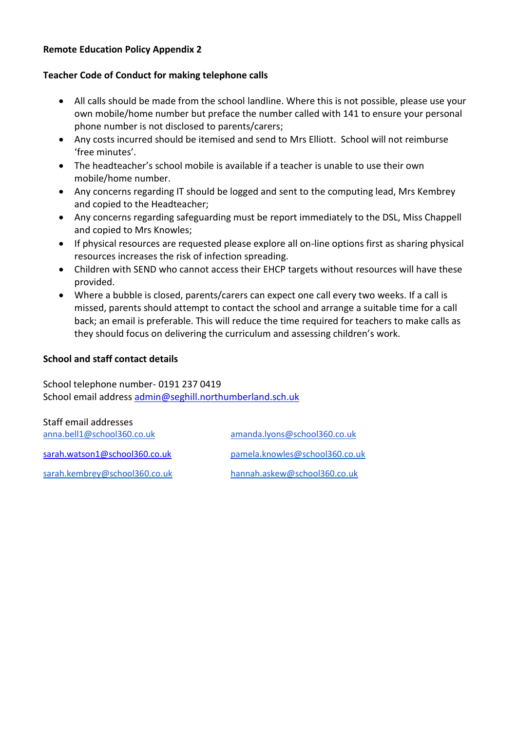#### **Remote Education Policy Appendix 2**

#### **Teacher Code of Conduct for making telephone calls**

- All calls should be made from the school landline. Where this is not possible, please use your own mobile/home number but preface the number called with 141 to ensure your personal phone number is not disclosed to parents/carers;
- Any costs incurred should be itemised and send to Mrs Elliott. School will not reimburse 'free minutes'.
- The headteacher's school mobile is available if a teacher is unable to use their own mobile/home number.
- Any concerns regarding IT should be logged and sent to the computing lead, Mrs Kembrey and copied to the Headteacher;
- Any concerns regarding safeguarding must be report immediately to the DSL, Miss Chappell and copied to Mrs Knowles;
- If physical resources are requested please explore all on-line options first as sharing physical resources increases the risk of infection spreading.
- Children with SEND who cannot access their EHCP targets without resources will have these provided.
- Where a bubble is closed, parents/carers can expect one call every two weeks. If a call is missed, parents should attempt to contact the school and arrange a suitable time for a call back; an email is preferable. This will reduce the time required for teachers to make calls as they should focus on delivering the curriculum and assessing children's work.

#### **School and staff contact details**

School telephone number- 0191 237 0419 School email address [admin@seghill.northumberland.sch.uk](mailto:admin@seghill.northumberland.sch.uk)

| Staff email addresses         |                                |
|-------------------------------|--------------------------------|
| anna.bell1@school360.co.uk    | amanda.lyons@school360.co.uk   |
| sarah.watson1@school360.co.uk | pamela.knowles@school360.co.uk |
| sarah.kembrey@school360.co.uk | hannah.askew@school360.co.uk   |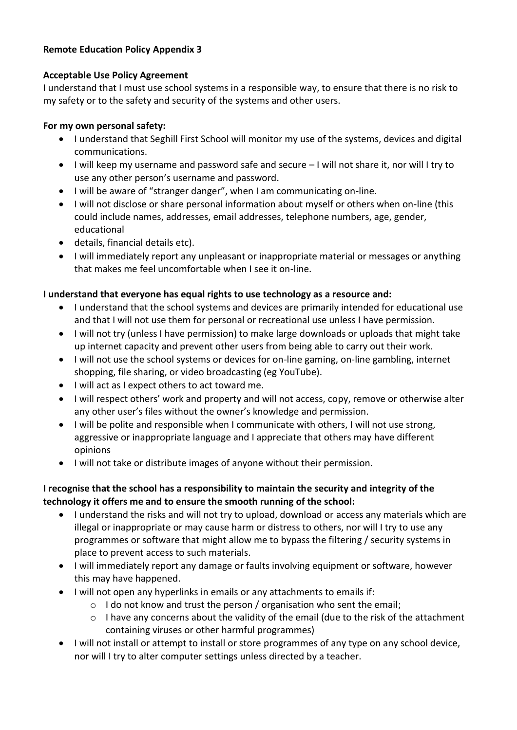### **Remote Education Policy Appendix 3**

### **Acceptable Use Policy Agreement**

I understand that I must use school systems in a responsible way, to ensure that there is no risk to my safety or to the safety and security of the systems and other users.

### **For my own personal safety:**

- I understand that Seghill First School will monitor my use of the systems, devices and digital communications.
- I will keep my username and password safe and secure I will not share it, nor will I try to use any other person's username and password.
- I will be aware of "stranger danger", when I am communicating on-line.
- I will not disclose or share personal information about myself or others when on-line (this could include names, addresses, email addresses, telephone numbers, age, gender, educational
- details, financial details etc).
- I will immediately report any unpleasant or inappropriate material or messages or anything that makes me feel uncomfortable when I see it on-line.

## **I understand that everyone has equal rights to use technology as a resource and:**

- I understand that the school systems and devices are primarily intended for educational use and that I will not use them for personal or recreational use unless I have permission.
- I will not try (unless I have permission) to make large downloads or uploads that might take up internet capacity and prevent other users from being able to carry out their work.
- I will not use the school systems or devices for on-line gaming, on-line gambling, internet shopping, file sharing, or video broadcasting (eg YouTube).
- $\bullet$  I will act as I expect others to act toward me.
- I will respect others' work and property and will not access, copy, remove or otherwise alter any other user's files without the owner's knowledge and permission.
- I will be polite and responsible when I communicate with others, I will not use strong, aggressive or inappropriate language and I appreciate that others may have different opinions
- I will not take or distribute images of anyone without their permission.

### **I recognise that the school has a responsibility to maintain the security and integrity of the technology it offers me and to ensure the smooth running of the school:**

- I understand the risks and will not try to upload, download or access any materials which are illegal or inappropriate or may cause harm or distress to others, nor will I try to use any programmes or software that might allow me to bypass the filtering / security systems in place to prevent access to such materials.
- I will immediately report any damage or faults involving equipment or software, however this may have happened.
- I will not open any hyperlinks in emails or any attachments to emails if:
	- o I do not know and trust the person / organisation who sent the email;
	- $\circ$  I have any concerns about the validity of the email (due to the risk of the attachment containing viruses or other harmful programmes)
- I will not install or attempt to install or store programmes of any type on any school device, nor will I try to alter computer settings unless directed by a teacher.